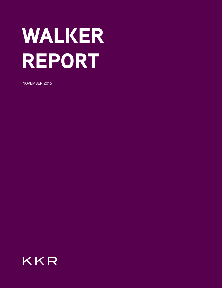# WALKER REPORT

NOVEMBER 2016

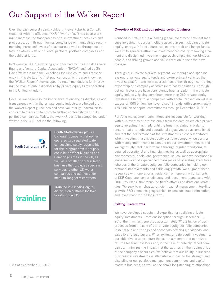### Our Support of the Walker Report

Over the past several years, Kohlberg Kravis Roberts & Co. L.P. (together with its affiliates, "KKR," "we" or "us") has been working to increase the transparency of our investment activities and processes, both through formal compliance with guidelines recommending increased levels of disclosure as well as through voluntary initiatives with our clients, partners, portfolio companies and the public at large.

In November 2007, a working group formed by The British Private Equity and Venture Capital Association ("BVCA") and led by Sir David Walker issued the Guidelines for Disclosure and Transparency in Private Equity. That publication, which is also known as the "Walker Report," makes specific recommendations for improving the level of public disclosure by private equity firms operating in the United Kingdom.

Because we believe in the importance of enhancing disclosure and transparency within the private equity industry, we helped draft the Walker Report guidelines and have voluntarily undertaken to conform to them and to promote further conformity by our U.K. portfolio companies. Today, the two KKR portfolio companies under Walker in the U.K. include the following<sup>1</sup>:



**South Staffordshire plc** is a UK water company that owns/ operates two regulated water concessions solely responsible for the integrated water supply chain in the West Midlands and Cambridge areas in the UK, as well as a smaller non-regulated business that provides specialist services to other UK water companies and utilities under medium-long term contracts.

trainline

**Trainline** is a leading digital distribution platform for train tickets in the UK.

#### 1 As of September 30, 2016

#### Overview of KKR and our private equity business

Founded in 1976, KKR is a leading global investment firm that manages investments across multiple asset classes including private equity, energy, infrastructure, real estate, credit and hedge funds. We aim to generate attractive investment returns by following a patient and disciplined investment approach, employing world-class people, and driving growth and value creation in the assets we manage.

Through our Private Markets segment, we manage and sponsor a group of private equity funds and co-investment vehicles that invest capital for long-term appreciation, either through controlling ownership of a company or strategic minority positions. Throughout our history, we have consistently been a leader in the private equity industry, having completed more than 260 private equity investments in portfolio companies with a total transaction value in excess of \$515 billion. We have raised 19 funds with approximately \$78.3 billion of capital commitments through December 31, 2015.

Portfolio management committees are responsible for working with our investment professionals from the date on which a private equity investment is made until the time it is exited in order to ensure that strategic and operational objectives are accomplished and that the performance of the investment is closely monitored. When investing in a private equity portfolio company, we partner with management teams to execute on our investment thesis, and we rigorously track performance through regular monitoring of detailed operational and financial metrics as well as appropriate environmental, social and governance issues. We have developed a global network of experienced managers and operating executives who assist the private equity portfolio companies in making operational improvements and achieving growth. We augment these resources with operational guidance from operating consultants at KKR Capstone, senior advisors, and investment teams, and with "100-Day Plans" that focus the firm's efforts and drive our strategies. We seek to emphasize efficient capital management, top-line growth, R&D spending, geographical expansion, cost optimization, and investment for the long-term.

#### Exiting Investments

We have developed substantial expertise for realizing private equity investments. From our inception through December 31, 2015, the firm has generated approximately \$110.2 billion of cash proceeds from the sale of our private equity portfolio companies in initial public offerings and secondary offerings, dividends, and sales to strategic buyers. When exiting private equity investments, our objective is to structure the exit in a manner that optimizes returns for fund investors and, in the case of publicly traded companies, minimizes the impact that the exit has on the trading price of the company's securities. We believe that our ability to successfully realize investments is attributable in part to the strength and discipline of our portfolio management committees and capital markets business, as well as the firm's longstanding relationships